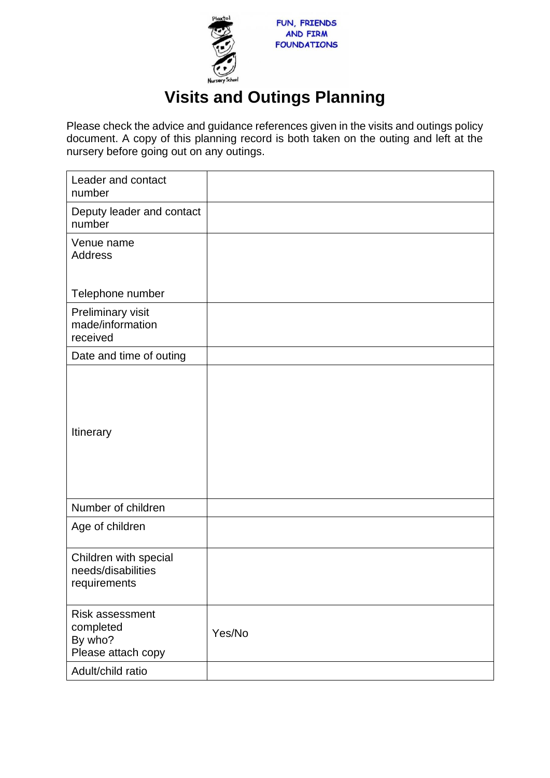

## **Visits and Outings Planning**

Please check the advice and guidance references given in the visits and outings policy document. A copy of this planning record is both taken on the outing and left at the nursery before going out on any outings.

| Leader and contact<br>number                                         |        |
|----------------------------------------------------------------------|--------|
| Deputy leader and contact<br>number                                  |        |
| Venue name<br><b>Address</b>                                         |        |
| Telephone number                                                     |        |
| Preliminary visit<br>made/information<br>received                    |        |
| Date and time of outing                                              |        |
| Itinerary                                                            |        |
| Number of children                                                   |        |
| Age of children                                                      |        |
| Children with special<br>needs/disabilities<br>requirements          |        |
| <b>Risk assessment</b><br>completed<br>By who?<br>Please attach copy | Yes/No |
| Adult/child ratio                                                    |        |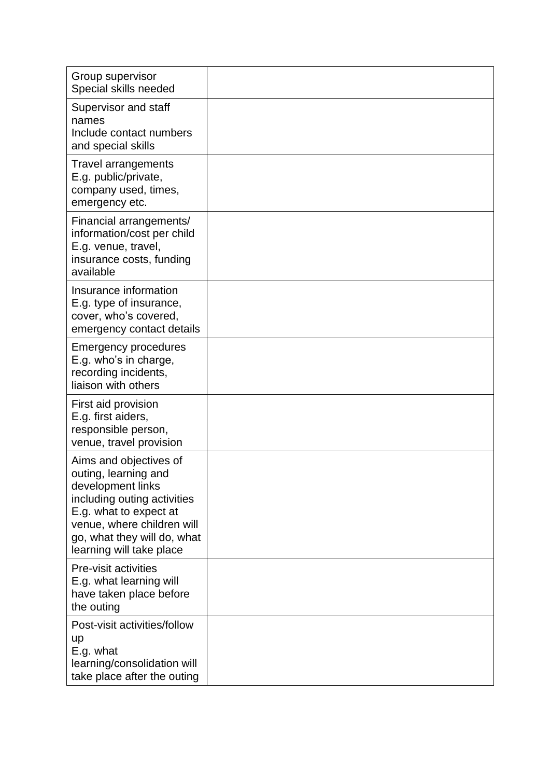| Group supervisor<br>Special skills needed                                                                                                                                                                             |  |
|-----------------------------------------------------------------------------------------------------------------------------------------------------------------------------------------------------------------------|--|
| Supervisor and staff<br>names<br>Include contact numbers<br>and special skills                                                                                                                                        |  |
| <b>Travel arrangements</b><br>E.g. public/private,<br>company used, times,<br>emergency etc.                                                                                                                          |  |
| Financial arrangements/<br>information/cost per child<br>E.g. venue, travel,<br>insurance costs, funding<br>available                                                                                                 |  |
| Insurance information<br>E.g. type of insurance,<br>cover, who's covered,<br>emergency contact details                                                                                                                |  |
| <b>Emergency procedures</b><br>E.g. who's in charge,<br>recording incidents,<br>liaison with others                                                                                                                   |  |
| First aid provision<br>E.g. first aiders,<br>responsible person,<br>venue, travel provision                                                                                                                           |  |
| Aims and objectives of<br>outing, learning and<br>development links<br>including outing activities<br>E.g. what to expect at<br>venue, where children will<br>go, what they will do, what<br>learning will take place |  |
| Pre-visit activities<br>E.g. what learning will<br>have taken place before<br>the outing                                                                                                                              |  |
| Post-visit activities/follow<br><b>up</b><br>E.g. what<br>learning/consolidation will<br>take place after the outing                                                                                                  |  |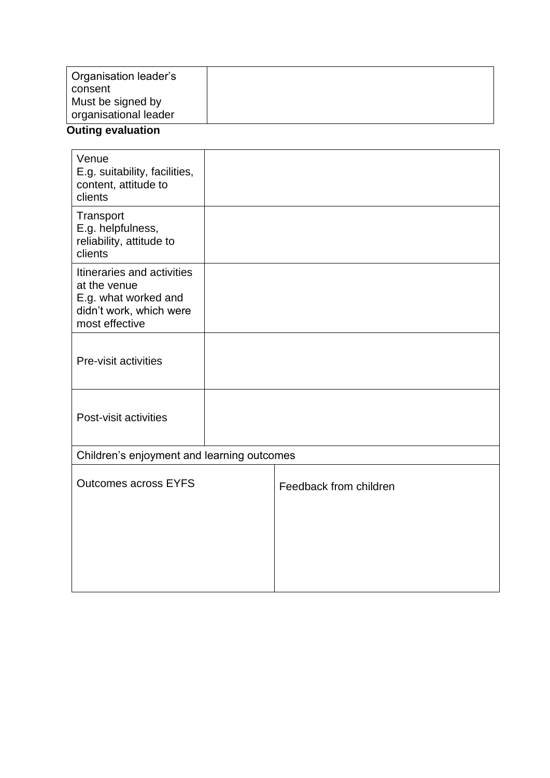| <b>Organisation leader's</b><br>consent |  |
|-----------------------------------------|--|
| Must be signed by                       |  |
| organisational leader                   |  |

## **Outing evaluation**

| Venue<br>E.g. suitability, facilities,<br>content, attitude to<br>clients                                       |  |                        |  |  |  |
|-----------------------------------------------------------------------------------------------------------------|--|------------------------|--|--|--|
| Transport<br>E.g. helpfulness,<br>reliability, attitude to<br>clients                                           |  |                        |  |  |  |
| Itineraries and activities<br>at the venue<br>E.g. what worked and<br>didn't work, which were<br>most effective |  |                        |  |  |  |
| Pre-visit activities                                                                                            |  |                        |  |  |  |
| Post-visit activities                                                                                           |  |                        |  |  |  |
| Children's enjoyment and learning outcomes                                                                      |  |                        |  |  |  |
| <b>Outcomes across EYFS</b>                                                                                     |  | Feedback from children |  |  |  |
|                                                                                                                 |  |                        |  |  |  |
|                                                                                                                 |  |                        |  |  |  |